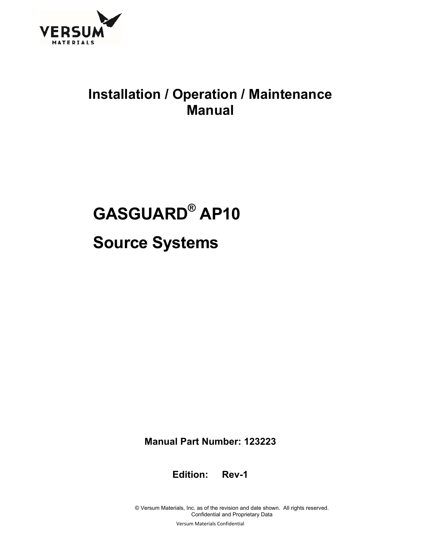

## **Installation / Operation / Maintenance Manual**

# **GASGUARD® AP10 Source Systems**

**Manual Part Number: 123223** 

**Edition: Rev-1** 

© Versum Materials, Inc. as of the revision and date shown. All rights reserved. Confidential and Proprietary Data

Versum Materials Confidential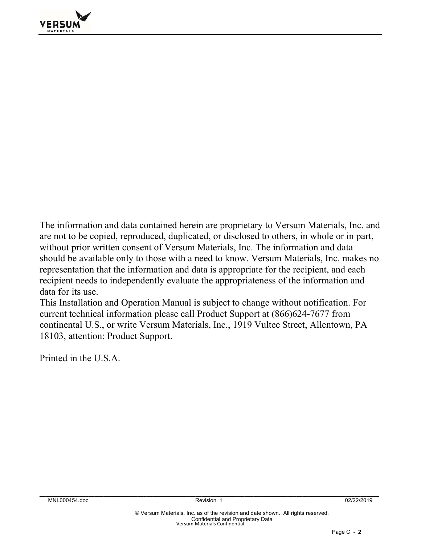

The information and data contained herein are proprietary to Versum Materials, Inc. and are not to be copied, reproduced, duplicated, or disclosed to others, in whole or in part, without prior written consent of Versum Materials, Inc. The information and data should be available only to those with a need to know. Versum Materials, Inc. makes no representation that the information and data is appropriate for the recipient, and each recipient needs to independently evaluate the appropriateness of the information and data for its use.

This Installation and Operation Manual is subject to change without notification. For current technical information please call Product Support at (866)624-7677 from continental U.S., or write Versum Materials, Inc., 1919 Vultee Street, Allentown, PA 18103, attention: Product Support.

Printed in the U.S.A.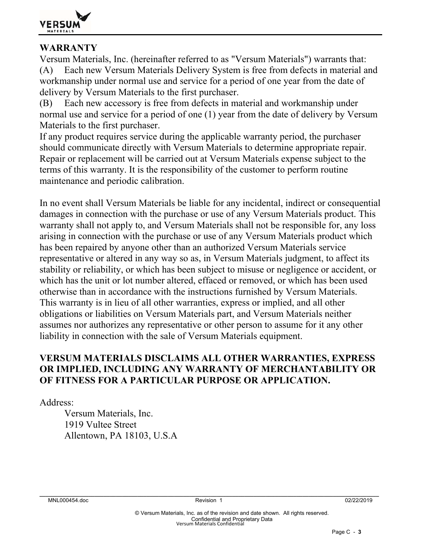

#### **WARRANTY**

Versum Materials, Inc. (hereinafter referred to as "Versum Materials") warrants that: (A) Each new Versum Materials Delivery System is free from defects in material and workmanship under normal use and service for a period of one year from the date of delivery by Versum Materials to the first purchaser.

(B) Each new accessory is free from defects in material and workmanship under normal use and service for a period of one (1) year from the date of delivery by Versum Materials to the first purchaser.

If any product requires service during the applicable warranty period, the purchaser should communicate directly with Versum Materials to determine appropriate repair. Repair or replacement will be carried out at Versum Materials expense subject to the terms of this warranty. It is the responsibility of the customer to perform routine maintenance and periodic calibration.

In no event shall Versum Materials be liable for any incidental, indirect or consequential damages in connection with the purchase or use of any Versum Materials product. This warranty shall not apply to, and Versum Materials shall not be responsible for, any loss arising in connection with the purchase or use of any Versum Materials product which has been repaired by anyone other than an authorized Versum Materials service representative or altered in any way so as, in Versum Materials judgment, to affect its stability or reliability, or which has been subject to misuse or negligence or accident, or which has the unit or lot number altered, effaced or removed, or which has been used otherwise than in accordance with the instructions furnished by Versum Materials. This warranty is in lieu of all other warranties, express or implied, and all other obligations or liabilities on Versum Materials part, and Versum Materials neither assumes nor authorizes any representative or other person to assume for it any other liability in connection with the sale of Versum Materials equipment.

#### **VERSUM MATERIALS DISCLAIMS ALL OTHER WARRANTIES, EXPRESS OR IMPLIED, INCLUDING ANY WARRANTY OF MERCHANTABILITY OR OF FITNESS FOR A PARTICULAR PURPOSE OR APPLICATION.**

Address:

 Versum Materials, Inc. 1919 Vultee Street Allentown, PA 18103, U.S.A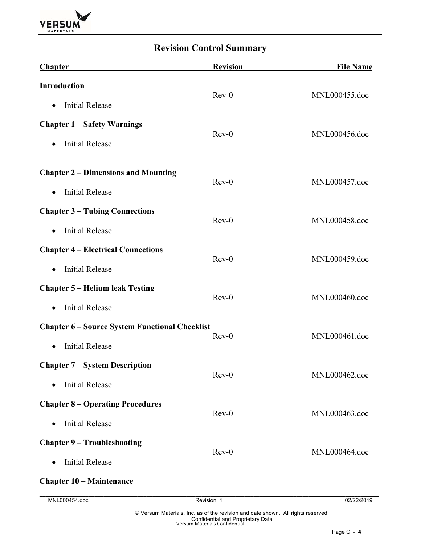

### **Revision Control Summary**

| <b>Chapter</b>                                        | <b>Revision</b> | <b>File Name</b> |
|-------------------------------------------------------|-----------------|------------------|
| <b>Introduction</b>                                   | $Rev-0$         | MNL000455.doc    |
| <b>Initial Release</b><br>$\bullet$                   |                 |                  |
| <b>Chapter 1 – Safety Warnings</b>                    | $Rev-0$         | MNL000456.doc    |
| <b>Initial Release</b><br>$\bullet$                   |                 |                  |
| <b>Chapter 2 – Dimensions and Mounting</b>            | $Rev-0$         | MNL000457.doc    |
| <b>Initial Release</b><br>$\bullet$                   |                 |                  |
| <b>Chapter 3 – Tubing Connections</b>                 | $Rev-0$         | MNL000458.doc    |
| <b>Initial Release</b><br>$\bullet$                   |                 |                  |
| <b>Chapter 4 – Electrical Connections</b>             | $Rev-0$         | MNL000459.doc    |
| <b>Initial Release</b><br>$\bullet$                   |                 |                  |
| <b>Chapter 5 – Helium leak Testing</b>                | $Rev-0$         | MNL000460.doc    |
| <b>Initial Release</b><br>$\bullet$                   |                 |                  |
| <b>Chapter 6 - Source System Functional Checklist</b> | $Rev-0$         | MNL000461.doc    |
| <b>Initial Release</b><br>$\bullet$                   |                 |                  |
| <b>Chapter 7 – System Description</b>                 | $Rev-0$         | MNL000462.doc    |
| <b>Initial Release</b>                                |                 |                  |
| <b>Chapter 8 – Operating Procedures</b>               | $Rev-0$         | MNL000463.doc    |
| <b>Initial Release</b><br>$\bullet$                   |                 |                  |
| <b>Chapter 9 - Troubleshooting</b>                    | $Rev-0$         | MNL000464.doc    |
| <b>Initial Release</b><br>$\bullet$                   |                 |                  |
| <b>Chapter 10 – Maintenance</b>                       |                 |                  |
| MNL000454.doc                                         | Revision 1      | 02/22/2019       |